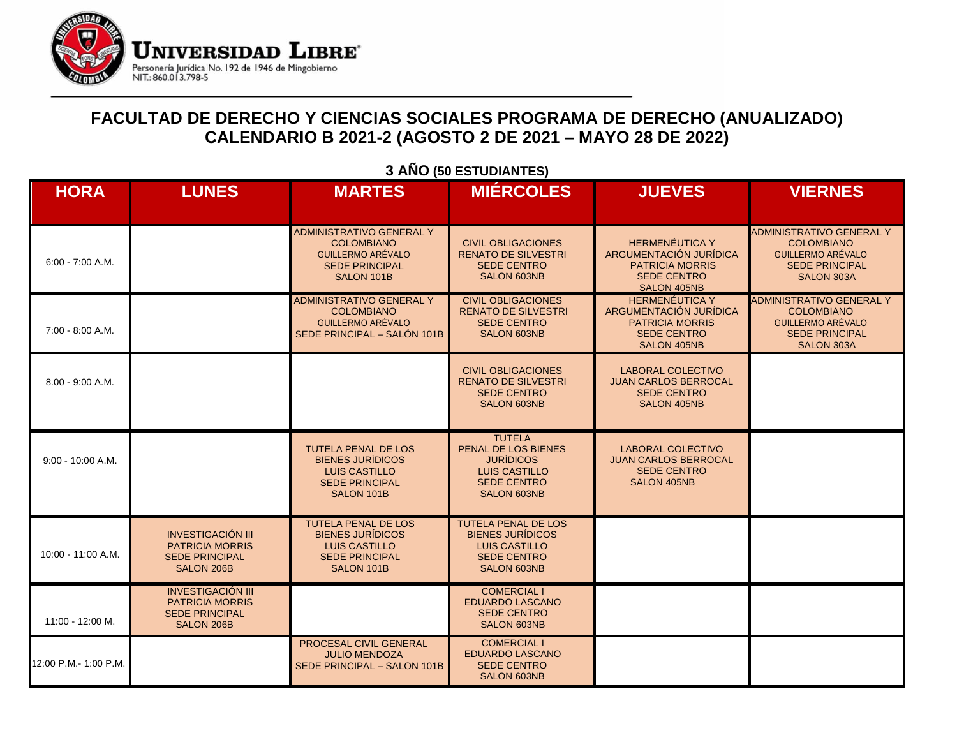

### **FACULTAD DE DERECHO Y CIENCIAS SOCIALES PROGRAMA DE DERECHO (ANUALIZADO) CALENDARIO B 2021-2 (AGOSTO 2 DE 2021 – MAYO 28 DE 2022)**

| <b>HORA</b>           | <b>LUNES</b>                                                                              | <b>MARTES</b>                                                                                                        | <b>MIÉRCOLES</b>                                                                                                          | <b>JUEVES</b>                                                                                                  | <b>VIERNES</b>                                                                                                   |
|-----------------------|-------------------------------------------------------------------------------------------|----------------------------------------------------------------------------------------------------------------------|---------------------------------------------------------------------------------------------------------------------------|----------------------------------------------------------------------------------------------------------------|------------------------------------------------------------------------------------------------------------------|
| $6:00 - 7:00 A.M.$    |                                                                                           | <b>ADMINISTRATIVO GENERAL Y</b><br><b>COLOMBIANO</b><br>GUILLERMO ARÉVALO<br><b>SEDE PRINCIPAL</b><br>SALON 101B     | <b>CIVIL OBLIGACIONES</b><br><b>RENATO DE SILVESTRI</b><br><b>SEDE CENTRO</b><br><b>SALON 603NB</b>                       | <b>HERMENÉUTICA Y</b><br>ARGUMENTACIÓN JURÍDICA<br><b>PATRICIA MORRIS</b><br><b>SEDE CENTRO</b><br>SALON 405NB | <b>ADMINISTRATIVO GENERAL Y</b><br><b>COLOMBIANO</b><br>GUILLERMO ARÉVALO<br><b>SEDE PRINCIPAL</b><br>SALON 303A |
| 7:00 - 8:00 A.M.      |                                                                                           | <b>ADMINISTRATIVO GENERAL Y</b><br><b>COLOMBIANO</b><br>GUILLERMO ARÉVALO<br>SEDE PRINCIPAL - SALÓN 101B             | <b>CIVIL OBLIGACIONES</b><br><b>RENATO DE SILVESTRI</b><br><b>SEDE CENTRO</b><br><b>SALON 603NB</b>                       | <b>HERMENÉUTICA Y</b><br>ARGUMENTACIÓN JURÍDICA<br><b>PATRICIA MORRIS</b><br><b>SEDE CENTRO</b><br>SALON 405NB | <b>ADMINISTRATIVO GENERAL Y</b><br><b>COLOMBIANO</b><br>GUILLERMO ARÉVALO<br><b>SEDE PRINCIPAL</b><br>SALON 303A |
| 8.00 - 9:00 A.M.      |                                                                                           |                                                                                                                      | <b>CIVIL OBLIGACIONES</b><br><b>RENATO DE SILVESTRI</b><br><b>SEDE CENTRO</b><br><b>SALON 603NB</b>                       | <b>LABORAL COLECTIVO</b><br><b>JUAN CARLOS BERROCAL</b><br><b>SEDE CENTRO</b><br><b>SALON 405NB</b>            |                                                                                                                  |
| $9:00 - 10:00 A.M.$   |                                                                                           | <b>TUTELA PENAL DE LOS</b><br><b>BIENES JURÍDICOS</b><br><b>LUIS CASTILLO</b><br><b>SEDE PRINCIPAL</b><br>SALON 101B | <b>TUTELA</b><br>PENAL DE LOS BIENES<br><b>JURÍDICOS</b><br><b>LUIS CASTILLO</b><br><b>SEDE CENTRO</b><br>SALON 603NB     | <b>LABORAL COLECTIVO</b><br><b>JUAN CARLOS BERROCAL</b><br><b>SEDE CENTRO</b><br><b>SALON 405NB</b>            |                                                                                                                  |
| 10:00 - 11:00 A.M.    | <b>INVESTIGACIÓN III</b><br><b>PATRICIA MORRIS</b><br><b>SEDE PRINCIPAL</b><br>SALON 206B | <b>TUTELA PENAL DE LOS</b><br><b>BIENES JURÍDICOS</b><br><b>LUIS CASTILLO</b><br><b>SEDE PRINCIPAL</b><br>SALON 101B | <b>TUTELA PENAL DE LOS</b><br><b>BIENES JURÍDICOS</b><br><b>LUIS CASTILLO</b><br><b>SEDE CENTRO</b><br><b>SALON 603NB</b> |                                                                                                                |                                                                                                                  |
| 11:00 - 12:00 M.      | <b>INVESTIGACIÓN III</b><br><b>PATRICIA MORRIS</b><br><b>SEDE PRINCIPAL</b><br>SALON 206B |                                                                                                                      | <b>COMERCIAL I</b><br><b>EDUARDO LASCANO</b><br><b>SEDE CENTRO</b><br>SALON 603NB                                         |                                                                                                                |                                                                                                                  |
| 12:00 P.M.- 1:00 P.M. |                                                                                           | PROCESAL CIVIL GENERAL<br><b>JULIO MENDOZA</b><br>SEDE PRINCIPAL - SALON 101B                                        | <b>COMERCIAL I</b><br><b>EDUARDO LASCANO</b><br><b>SEDE CENTRO</b><br><b>SALON 603NB</b>                                  |                                                                                                                |                                                                                                                  |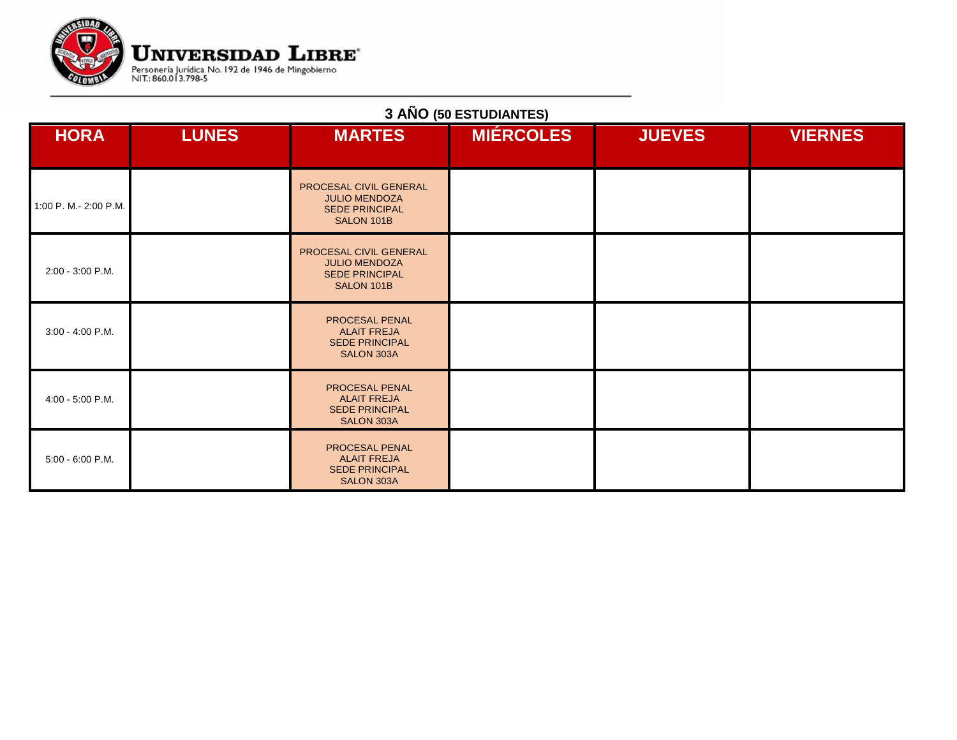

| <b>HORA</b>           | <b>LUNES</b> | <b>MARTES</b>                                                                         | <b>MIÉRCOLES</b> | <b>JUEVES</b> | <b>VIERNES</b> |
|-----------------------|--------------|---------------------------------------------------------------------------------------|------------------|---------------|----------------|
| 1:00 P. M.- 2:00 P.M. |              | PROCESAL CIVIL GENERAL<br><b>JULIO MENDOZA</b><br><b>SEDE PRINCIPAL</b><br>SALON 101B |                  |               |                |
| 2:00 - 3:00 P.M.      |              | PROCESAL CIVIL GENERAL<br><b>JULIO MENDOZA</b><br><b>SEDE PRINCIPAL</b><br>SALON 101B |                  |               |                |
| 3:00 - 4:00 P.M.      |              | PROCESAL PENAL<br><b>ALAIT FREJA</b><br><b>SEDE PRINCIPAL</b><br>SALON 303A           |                  |               |                |
| 4:00 - 5:00 P.M.      |              | PROCESAL PENAL<br><b>ALAIT FREJA</b><br><b>SEDE PRINCIPAL</b><br>SALON 303A           |                  |               |                |
| 5:00 - 6:00 P.M.      |              | PROCESAL PENAL<br><b>ALAIT FREJA</b><br><b>SEDE PRINCIPAL</b><br>SALON 303A           |                  |               |                |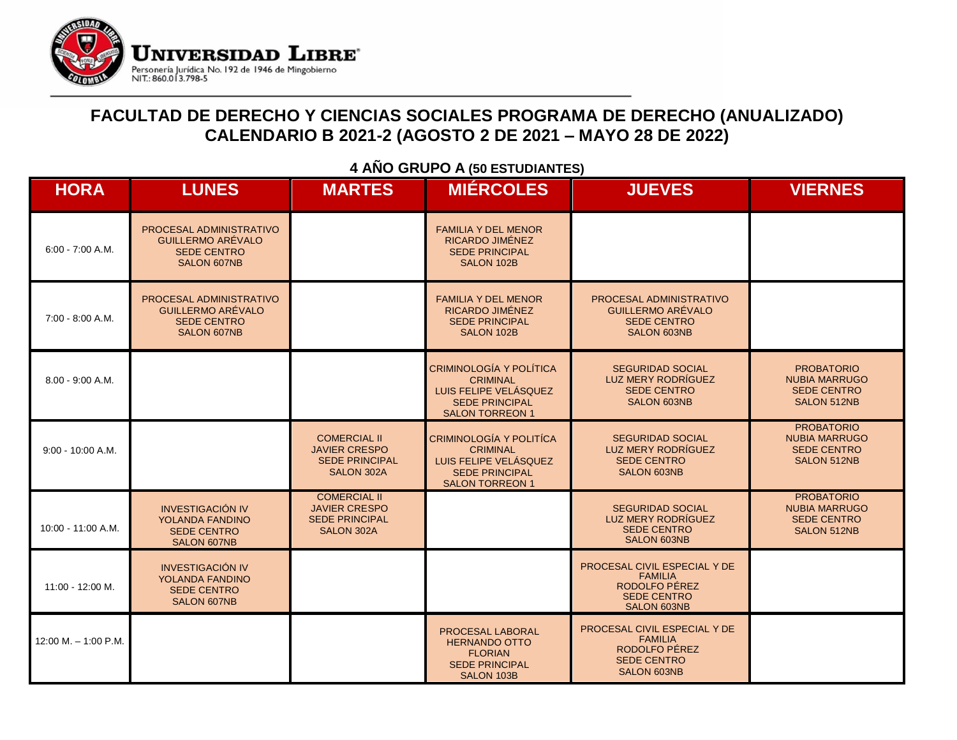

### **FACULTAD DE DERECHO Y CIENCIAS SOCIALES PROGRAMA DE DERECHO (ANUALIZADO) CALENDARIO B 2021-2 (AGOSTO 2 DE 2021 – MAYO 28 DE 2022)**

| <b>HORA</b>            | <b>LUNES</b>                                                                             | <b>MARTES</b>                                                                             | <b>MIÉRCOLES</b>                                                                                                              | <b>JUEVES</b>                                                                                               | <b>VIERNES</b>                                                                 |
|------------------------|------------------------------------------------------------------------------------------|-------------------------------------------------------------------------------------------|-------------------------------------------------------------------------------------------------------------------------------|-------------------------------------------------------------------------------------------------------------|--------------------------------------------------------------------------------|
| $6:00 - 7:00 A.M.$     | PROCESAL ADMINISTRATIVO<br><b>GUILLERMO ARÉVALO</b><br><b>SEDE CENTRO</b><br>SALON 607NB |                                                                                           | <b>FAMILIA Y DEL MENOR</b><br>RICARDO JIMÉNEZ<br><b>SEDE PRINCIPAL</b><br>SALON 102B                                          |                                                                                                             |                                                                                |
| 7:00 - 8:00 A.M.       | PROCESAL ADMINISTRATIVO<br>GUILLERMO ARÉVALO<br><b>SEDE CENTRO</b><br>SALON 607NB        |                                                                                           | <b>FAMILIA Y DEL MENOR</b><br>RICARDO JIMÉNEZ<br><b>SEDE PRINCIPAL</b><br>SALON 102B                                          | PROCESAL ADMINISTRATIVO<br><b>GUILLERMO ARÉVALO</b><br><b>SEDE CENTRO</b><br><b>SALON 603NB</b>             |                                                                                |
| $8.00 - 9:00 A.M.$     |                                                                                          |                                                                                           | <b>CRIMINOLOGÍA Y POLÍTICA</b><br><b>CRIMINAL</b><br>LUIS FELIPE VELÁSQUEZ<br><b>SEDE PRINCIPAL</b><br><b>SALON TORREON 1</b> | <b>SEGURIDAD SOCIAL</b><br>LUZ MERY RODRÍGUEZ<br><b>SEDE CENTRO</b><br><b>SALON 603NB</b>                   | <b>PROBATORIO</b><br><b>NUBIA MARRUGO</b><br><b>SEDE CENTRO</b><br>SALON 512NB |
| $9:00 - 10:00 A.M.$    |                                                                                          | <b>COMERCIAL II</b><br><b>JAVIER CRESPO</b><br><b>SEDE PRINCIPAL</b><br>SALON 302A        | CRIMINOLOGÍA Y POLITÍCA<br><b>CRIMINAL</b><br>LUIS FELIPE VELÁSQUEZ<br><b>SEDE PRINCIPAL</b><br><b>SALON TORREON 1</b>        | <b>SEGURIDAD SOCIAL</b><br>LUZ MERY RODRÍGUEZ<br><b>SEDE CENTRO</b><br><b>SALON 603NB</b>                   | <b>PROBATORIO</b><br><b>NUBIA MARRUGO</b><br><b>SEDE CENTRO</b><br>SALON 512NB |
| 10:00 - 11:00 A.M.     | <b>INVESTIGACIÓN IV</b><br>YOLANDA FANDINO<br><b>SEDE CENTRO</b><br><b>SALON 607NB</b>   | <b>COMERCIAL II</b><br><b>JAVIER CRESPO</b><br><b>SEDE PRINCIPAL</b><br><b>SALON 302A</b> |                                                                                                                               | <b>SEGURIDAD SOCIAL</b><br>LUZ MERY RODRÍGUEZ<br><b>SEDE CENTRO</b><br><b>SALON 603NB</b>                   | <b>PROBATORIO</b><br><b>NUBIA MARRUGO</b><br><b>SEDE CENTRO</b><br>SALON 512NB |
| 11:00 - 12:00 M.       | <b>INVESTIGACIÓN IV</b><br>YOLANDA FANDINO<br><b>SEDE CENTRO</b><br>SALON 607NB          |                                                                                           |                                                                                                                               | PROCESAL CIVIL ESPECIAL Y DE<br><b>FAMILIA</b><br>RODOLFO PÉREZ<br><b>SEDE CENTRO</b><br><b>SALON 603NB</b> |                                                                                |
| $12:00 M. - 1:00 P.M.$ |                                                                                          |                                                                                           | PROCESAL LABORAL<br><b>HERNANDO OTTO</b><br><b>FLORIAN</b><br><b>SEDE PRINCIPAL</b><br>SALON 103B                             | PROCESAL CIVIL ESPECIAL Y DE<br><b>FAMILIA</b><br>RODOLFO PÉREZ<br><b>SEDE CENTRO</b><br><b>SALON 603NB</b> |                                                                                |

### **4 AÑO GRUPO A (50 ESTUDIANTES)**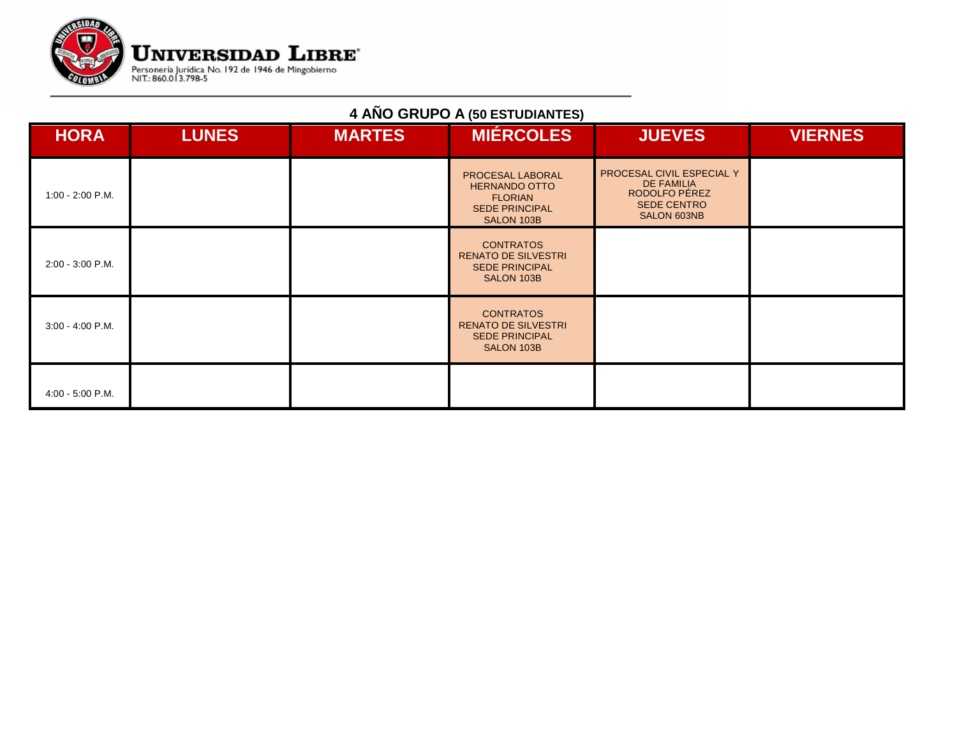

## **4 AÑO GRUPO A (50 ESTUDIANTES)**

| <b>HORA</b>        | <b>LUNES</b> | <b>MARTES</b> | <b>MIÉRCOLES</b>                                                                                  | <b>JUEVES</b>                                                                                        | <b>VIERNES</b> |
|--------------------|--------------|---------------|---------------------------------------------------------------------------------------------------|------------------------------------------------------------------------------------------------------|----------------|
| 1:00 - 2:00 P.M.   |              |               | PROCESAL LABORAL<br><b>HERNANDO OTTO</b><br><b>FLORIAN</b><br><b>SEDE PRINCIPAL</b><br>SALON 103B | PROCESAL CIVIL ESPECIAL Y<br><b>DE FAMILIA</b><br>RODOLFO PÉREZ<br><b>SEDE CENTRO</b><br>SALON 603NB |                |
| 2:00 - 3:00 P.M.   |              |               | <b>CONTRATOS</b><br><b>RENATO DE SILVESTRI</b><br><b>SEDE PRINCIPAL</b><br>SALON 103B             |                                                                                                      |                |
| $3:00 - 4:00$ P.M. |              |               | <b>CONTRATOS</b><br><b>RENATO DE SILVESTRI</b><br><b>SEDE PRINCIPAL</b><br>SALON 103B             |                                                                                                      |                |
| $4:00 - 5:00$ P.M. |              |               |                                                                                                   |                                                                                                      |                |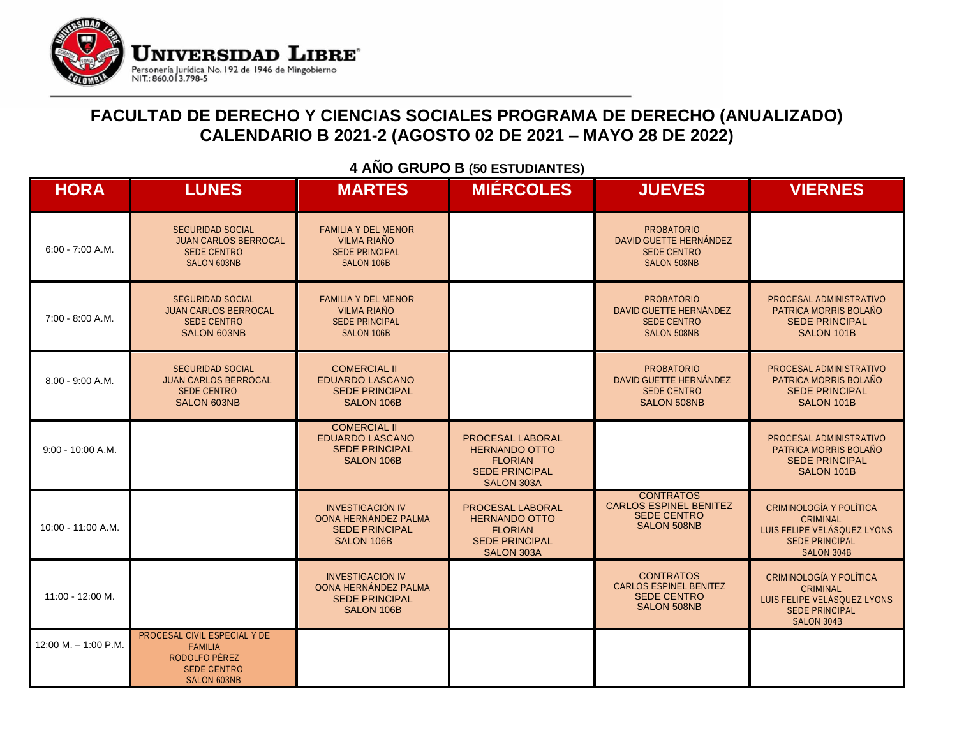

### **FACULTAD DE DERECHO Y CIENCIAS SOCIALES PROGRAMA DE DERECHO (ANUALIZADO) CALENDARIO B 2021-2 (AGOSTO 02 DE 2021 – MAYO 28 DE 2022)**

| <b>HORA</b>            | <b>LUNES</b>                                                                                                | <b>MARTES</b>                                                                           | <b>MIÉRCOLES</b>                                                                                  | <b>JUEVES</b>                                                                                 | <b>VIERNES</b>                                                                                                          |
|------------------------|-------------------------------------------------------------------------------------------------------------|-----------------------------------------------------------------------------------------|---------------------------------------------------------------------------------------------------|-----------------------------------------------------------------------------------------------|-------------------------------------------------------------------------------------------------------------------------|
| $6:00 - 7:00 A.M.$     | <b>SEGURIDAD SOCIAL</b><br><b>JUAN CARLOS BERROCAL</b><br><b>SEDE CENTRO</b><br>SALON 603NB                 | <b>FAMILIA Y DEL MENOR</b><br><b>VILMA RIAÑO</b><br><b>SEDE PRINCIPAL</b><br>SALON 106B |                                                                                                   | <b>PROBATORIO</b><br>DAVID GUETTE HERNÁNDEZ<br><b>SEDE CENTRO</b><br><b>SALON 508NB</b>       |                                                                                                                         |
| 7:00 - 8:00 A.M.       | <b>SEGURIDAD SOCIAL</b><br><b>JUAN CARLOS BERROCAL</b><br><b>SEDE CENTRO</b><br><b>SALON 603NB</b>          | <b>FAMILIA Y DEL MENOR</b><br><b>VILMA RIAÑO</b><br><b>SEDE PRINCIPAL</b><br>SALON 106B |                                                                                                   | <b>PROBATORIO</b><br>DAVID GUETTE HERNÁNDEZ<br><b>SEDE CENTRO</b><br><b>SALON 508NB</b>       | PROCESAL ADMINISTRATIVO<br>PATRICA MORRIS BOLAÑO<br><b>SEDE PRINCIPAL</b><br>SALON 101B                                 |
| 8.00 - 9:00 A.M.       | <b>SEGURIDAD SOCIAL</b><br><b>JUAN CARLOS BERROCAL</b><br><b>SEDE CENTRO</b><br><b>SALON 603NB</b>          | <b>COMERCIAL II</b><br><b>EDUARDO LASCANO</b><br><b>SEDE PRINCIPAL</b><br>SALON 106B    |                                                                                                   | <b>PROBATORIO</b><br>DAVID GUETTE HERNÁNDEZ<br><b>SEDE CENTRO</b><br><b>SALON 508NB</b>       | PROCESAL ADMINISTRATIVO<br>PATRICA MORRIS BOLAÑO<br><b>SEDE PRINCIPAL</b><br>SALON 101B                                 |
| $9:00 - 10:00 A.M.$    |                                                                                                             | <b>COMERCIAL II</b><br><b>EDUARDO LASCANO</b><br><b>SEDE PRINCIPAL</b><br>SALON 106B    | PROCESAL LABORAL<br><b>HERNANDO OTTO</b><br><b>FLORIAN</b><br><b>SEDE PRINCIPAL</b><br>SALON 303A |                                                                                               | PROCESAL ADMINISTRATIVO<br>PATRICA MORRIS BOLAÑO<br><b>SEDE PRINCIPAL</b><br>SALON 101B                                 |
| 10:00 - 11:00 A.M.     |                                                                                                             | <b>INVESTIGACIÓN IV</b><br>OONA HERNÁNDEZ PALMA<br><b>SEDE PRINCIPAL</b><br>SALON 106B  | PROCESAL LABORAL<br><b>HERNANDO OTTO</b><br><b>FLORIAN</b><br><b>SEDE PRINCIPAL</b><br>SALON 303A | <b>CONTRATOS</b><br><b>CARLOS ESPINEL BENITEZ</b><br><b>SEDE CENTRO</b><br><b>SALON 508NB</b> | CRIMINOLOGÍA Y POLÍTICA<br><b>CRIMINAL</b><br>LUIS FELIPE VELÁSQUEZ LYONS<br><b>SEDE PRINCIPAL</b><br>SALON 304B        |
| 11:00 - 12:00 M.       |                                                                                                             | <b>INVESTIGACIÓN IV</b><br>OONA HERNÁNDEZ PALMA<br><b>SEDE PRINCIPAL</b><br>SALON 106B  |                                                                                                   | <b>CONTRATOS</b><br><b>CARLOS ESPINEL BENITEZ</b><br><b>SEDE CENTRO</b><br><b>SALON 508NB</b> | <b>CRIMINOLOGÍA Y POLÍTICA</b><br><b>CRIMINAL</b><br>LUIS FELIPE VELÁSQUEZ LYONS<br><b>SEDE PRINCIPAL</b><br>SALON 304B |
| $12:00 M. - 1:00 P.M.$ | PROCESAL CIVIL ESPECIAL Y DE<br><b>FAMILIA</b><br>RODOLFO PÉREZ<br><b>SEDE CENTRO</b><br><b>SALON 603NB</b> |                                                                                         |                                                                                                   |                                                                                               |                                                                                                                         |

#### **4 AÑO GRUPO B (50 ESTUDIANTES)**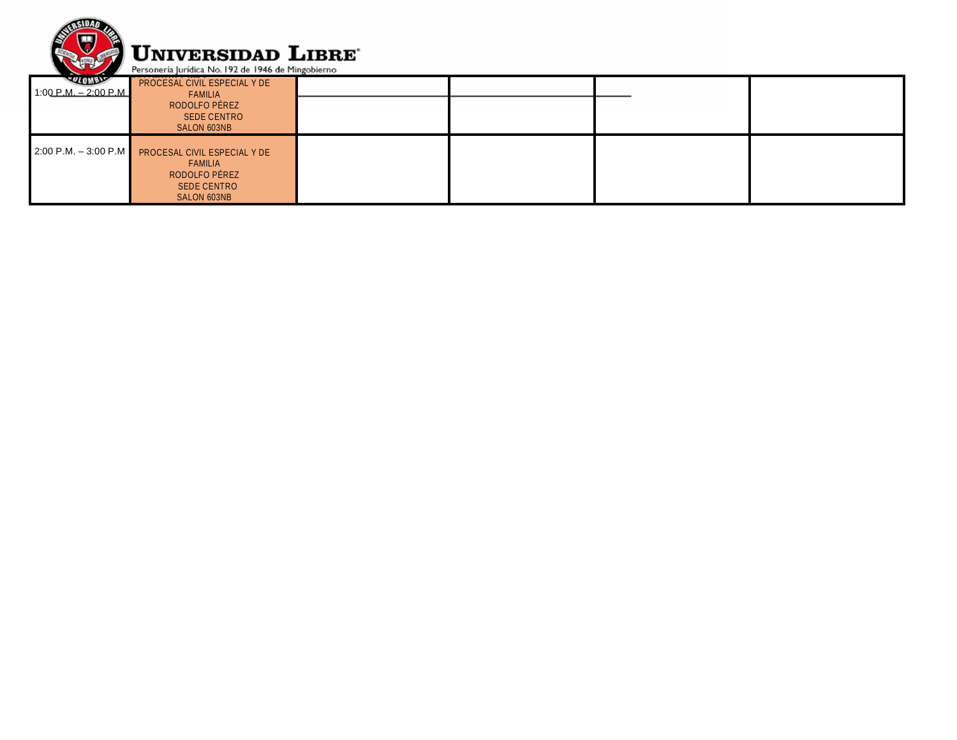

| <b>QLOWDY</b><br>$1:00 \text{ P.M.} = 2:00 \text{ P.M.}$ | PROCESAL CIVIL ESPECIAL Y DE<br>FAMILIA                                       |  |  |
|----------------------------------------------------------|-------------------------------------------------------------------------------|--|--|
|                                                          | RODOLFO PÉREZ<br><b>SEDE CENTRO</b>                                           |  |  |
|                                                          | SALON 603NB                                                                   |  |  |
|                                                          | 2:00 P.M. - 3:00 P.M PROCESAL CIVIL ESPECIAL Y DE<br>FAMILIA<br>RODOLFO PÉREZ |  |  |
|                                                          | SEDE CENTRO<br>SALON 603NB                                                    |  |  |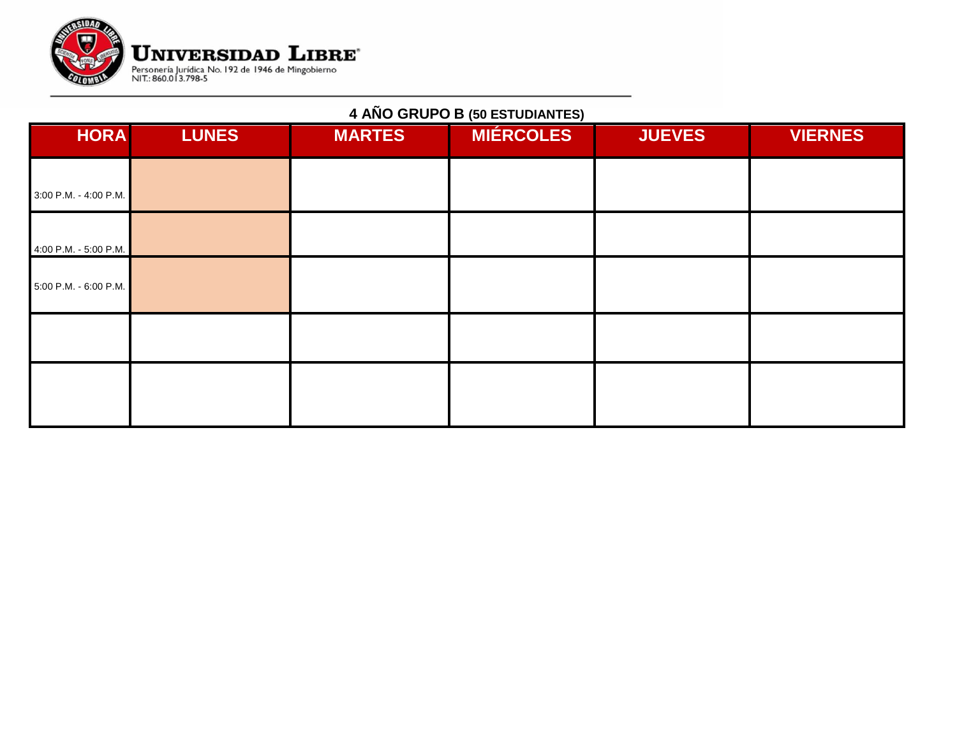

## **4 AÑO GRUPO B (50 ESTUDIANTES)**

| <b>HORA</b>           | <b>LUNES</b> | <b>MARTES</b> | <b>MIÉRCOLES</b> | <b>JUEVES</b> | <b>VIERNES</b> |
|-----------------------|--------------|---------------|------------------|---------------|----------------|
| 3:00 P.M. - 4:00 P.M. |              |               |                  |               |                |
| 4:00 P.M. - 5:00 P.M. |              |               |                  |               |                |
| 5:00 P.M. - 6:00 P.M. |              |               |                  |               |                |
|                       |              |               |                  |               |                |
|                       |              |               |                  |               |                |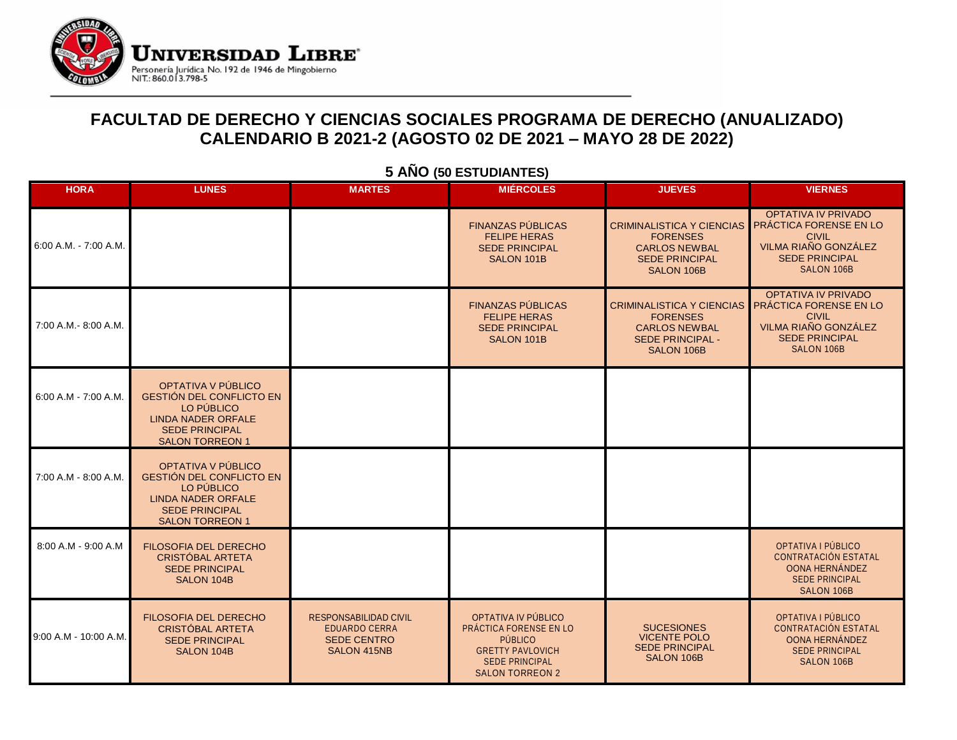

### **FACULTAD DE DERECHO Y CIENCIAS SOCIALES PROGRAMA DE DERECHO (ANUALIZADO) CALENDARIO B 2021-2 (AGOSTO 02 DE 2021 – MAYO 28 DE 2022)**

| <b>HORA</b>            | <b>LUNES</b>                                                                                                                                        | <b>MARTES</b>                                                                             | <b>MIÉRCOLES</b>                                                                                                                              | <b>JUEVES</b>                                                                                                        | <b>VIERNES</b>                                                                                                                             |
|------------------------|-----------------------------------------------------------------------------------------------------------------------------------------------------|-------------------------------------------------------------------------------------------|-----------------------------------------------------------------------------------------------------------------------------------------------|----------------------------------------------------------------------------------------------------------------------|--------------------------------------------------------------------------------------------------------------------------------------------|
| 6:00 A.M. - 7:00 A.M.  |                                                                                                                                                     |                                                                                           | <b>FINANZAS PÚBLICAS</b><br><b>FELIPE HERAS</b><br><b>SEDE PRINCIPAL</b><br>SALON 101B                                                        | <b>CRIMINALISTICA Y CIENCIAS</b><br><b>FORENSES</b><br><b>CARLOS NEWBAL</b><br><b>SEDE PRINCIPAL</b><br>SALON 106B   | <b>OPTATIVA IV PRIVADO</b><br><b>PRÁCTICA FORENSE EN LO</b><br><b>CIVIL</b><br>VILMA RIAÑO GONZÁLEZ<br><b>SEDE PRINCIPAL</b><br>SALON 106B |
| 7:00 A.M.- 8:00 A.M.   |                                                                                                                                                     |                                                                                           | <b>FINANZAS PÚBLICAS</b><br><b>FELIPE HERAS</b><br><b>SEDE PRINCIPAL</b><br>SALON 101B                                                        | <b>CRIMINALISTICA Y CIENCIAS</b><br><b>FORENSES</b><br><b>CARLOS NEWBAL</b><br><b>SEDE PRINCIPAL -</b><br>SALON 106B | <b>OPTATIVA IV PRIVADO</b><br>PRÁCTICA FORENSE EN LO<br><b>CIVIL</b><br>VILMA RIAÑO GONZÁLEZ<br><b>SEDE PRINCIPAL</b><br><b>SALON 106B</b> |
| $6:00 A.M - 7:00 A.M.$ | OPTATIVA V PÚBLICO<br><b>GESTIÓN DEL CONFLICTO EN</b><br>LO PÚBLICO<br><b>LINDA NADER ORFALE</b><br><b>SEDE PRINCIPAL</b><br><b>SALON TORREON 1</b> |                                                                                           |                                                                                                                                               |                                                                                                                      |                                                                                                                                            |
| 7:00 A.M - 8:00 A.M.   | OPTATIVA V PÚBLICO<br><b>GESTIÓN DEL CONFLICTO EN</b><br>LO PÚBLICO<br><b>LINDA NADER ORFALE</b><br><b>SEDE PRINCIPAL</b><br><b>SALON TORREON 1</b> |                                                                                           |                                                                                                                                               |                                                                                                                      |                                                                                                                                            |
| 8:00 A.M - 9:00 A.M    | <b>FILOSOFIA DEL DERECHO</b><br>CRISTÓBAL ARTETA<br><b>SEDE PRINCIPAL</b><br>SALON 104B                                                             |                                                                                           |                                                                                                                                               |                                                                                                                      | OPTATIVA I PÚBLICO<br><b>CONTRATACIÓN ESTATAL</b><br>OONA HERNÁNDEZ<br><b>SEDE PRINCIPAL</b><br>SALON 106B                                 |
| 9:00 A.M - 10:00 A.M.  | FILOSOFIA DEL DERECHO<br><b>CRISTÓBAL ARTETA</b><br><b>SEDE PRINCIPAL</b><br>SALON 104B                                                             | <b>RESPONSABILIDAD CIVIL</b><br><b>EDUARDO CERRA</b><br><b>SEDE CENTRO</b><br>SALON 415NB | OPTATIVA IV PÚBLICO<br>PRÁCTICA FORENSE EN LO<br><b>PÚBLICO</b><br><b>GRETTY PAVLOVICH</b><br><b>SEDE PRINCIPAL</b><br><b>SALON TORREON 2</b> | <b>SUCESIONES</b><br><b>VICENTE POLO</b><br><b>SEDE PRINCIPAL</b><br>SALON 106B                                      | OPTATIVA I PÚBLICO<br><b>CONTRATACIÓN ESTATAL</b><br>OONA HERNÁNDEZ<br><b>SEDE PRINCIPAL</b><br>SALON 106B                                 |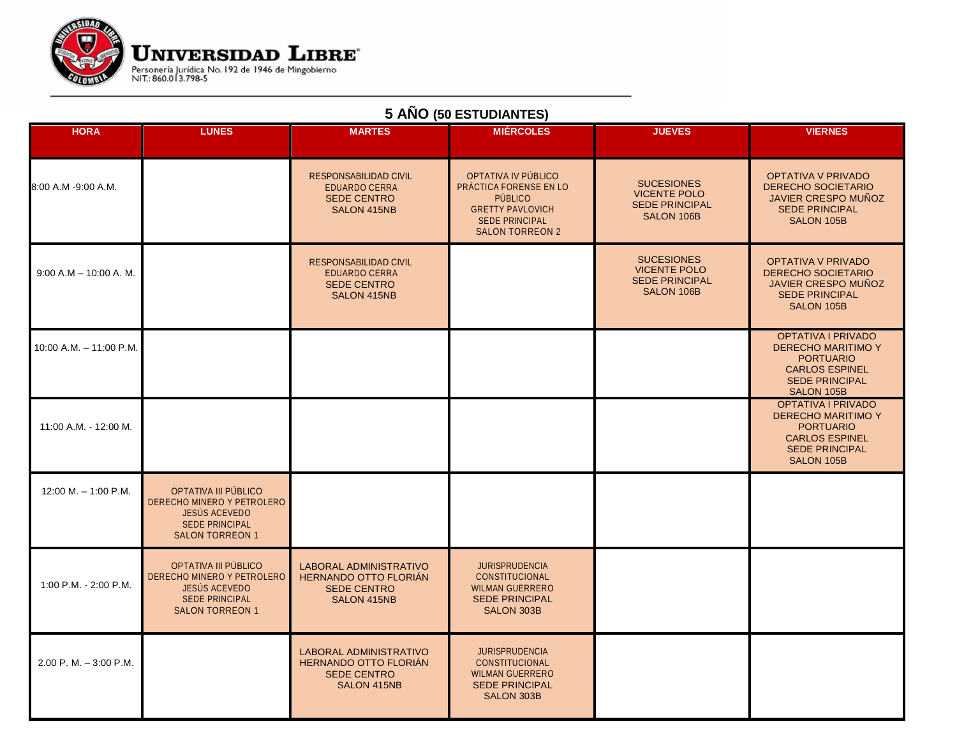

| <b>HORA</b>                | <b>LUNES</b>                                                                                                           | <b>MARTES</b>                                                                                      | <b>MIERCOLES</b>                                                                                                                              | <b>JUEVES</b>                                                                   | <b>VIERNES</b>                                                                                                                      |
|----------------------------|------------------------------------------------------------------------------------------------------------------------|----------------------------------------------------------------------------------------------------|-----------------------------------------------------------------------------------------------------------------------------------------------|---------------------------------------------------------------------------------|-------------------------------------------------------------------------------------------------------------------------------------|
| 8:00 A.M -9:00 A.M.        |                                                                                                                        | <b>RESPONSABILIDAD CIVIL</b><br><b>EDUARDO CERRA</b><br><b>SEDE CENTRO</b><br>SALON 415NB          | OPTATIVA IV PÚBLICO<br>PRÁCTICA FORENSE EN LO<br><b>PUBLICO</b><br><b>GRETTY PAVLOVICH</b><br><b>SEDE PRINCIPAL</b><br><b>SALON TORREON 2</b> | <b>SUCESIONES</b><br><b>VICENTE POLO</b><br><b>SEDE PRINCIPAL</b><br>SALON 106B | <b>OPTATIVA V PRIVADO</b><br><b>DERECHO SOCIETARIO</b><br><b>JAVIER CRESPO MUNOZ</b><br><b>SEDE PRINCIPAL</b><br>SALON 105B         |
| $9:00$ A.M $-$ 10:00 A.M.  |                                                                                                                        | <b>RESPONSABILIDAD CIVIL</b><br><b>EDUARDO CERRA</b><br><b>SEDE CENTRO</b><br>SALON 415NB          |                                                                                                                                               | <b>SUCESIONES</b><br><b>VICENTE POLO</b><br><b>SEDE PRINCIPAL</b><br>SALON 106B | <b>OPTATIVA V PRIVADO</b><br><b>DERECHO SOCIETARIO</b><br><b>JAVIER CRESPO MUNOZ</b><br><b>SEDE PRINCIPAL</b><br>SALON 105B         |
| 10:00 A.M. - 11:00 P.M.    |                                                                                                                        |                                                                                                    |                                                                                                                                               |                                                                                 | OPTATIVA I PRIVADO<br><b>DERECHO MARITIMO Y</b><br><b>PORTUARIO</b><br><b>CARLOS ESPINEL</b><br><b>SEDE PRINCIPAL</b><br>SALON 105B |
| 11:00 A.M. - 12:00 M.      |                                                                                                                        |                                                                                                    |                                                                                                                                               |                                                                                 | OPTATIVA I PRIVADO<br><b>DERECHO MARITIMO Y</b><br><b>PORTUARIO</b><br><b>CARLOS ESPINEL</b><br><b>SEDE PRINCIPAL</b><br>SALON 105B |
| $12:00 M. - 1:00 P.M.$     | OPTATIVA III PÚBLICO<br>DERECHO MINERO Y PETROLERO<br>JESÚS ACEVEDO<br><b>SEDE PRINCIPAL</b><br><b>SALON TORREON 1</b> |                                                                                                    |                                                                                                                                               |                                                                                 |                                                                                                                                     |
| 1:00 P.M. - 2:00 P.M.      | OPTATIVA III PÚBLICO<br>DERECHO MINERO Y PETROLERO<br>JESÚS ACEVEDO<br><b>SEDE PRINCIPAL</b><br><b>SALON TORREON 1</b> | <b>LABORAL ADMINISTRATIVO</b><br><b>HERNANDO OTTO FLORIÁN</b><br><b>SEDE CENTRO</b><br>SALON 415NB | <b>JURISPRUDENCIA</b><br>CONSTITUCIONAL<br><b>WILMAN GUERRERO</b><br><b>SEDE PRINCIPAL</b><br>SALON 303B                                      |                                                                                 |                                                                                                                                     |
| $2.00$ P, M, $-3:00$ P, M, |                                                                                                                        | <b>LABORAL ADMINISTRATIVO</b><br><b>HERNANDO OTTO FLORIAN</b><br><b>SEDE CENTRO</b><br>SALON 415NB | <b>JURISPRUDENCIA</b><br><b>CONSTITUCIONAL</b><br><b>WILMAN GUERRERO</b><br><b>SEDE PRINCIPAL</b><br><b>SALON 303B</b>                        |                                                                                 |                                                                                                                                     |